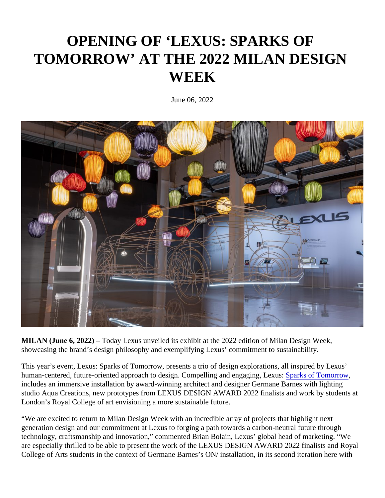## OPENING OF 'LEXUS: SPARKS OF TOMORROW' AT THE 2022 MILAN DESIGN **WEEK**

June 06, 2022

MILAN (June 6, 2022) – Today Lexus unveiled its exhibit at the 2022 edition of Milan Design Week, showcasing the brand's design philosophy and exemplifying Lexus' commitment to sustainability.

This year's event, Lexus: Sparks of Tomorrow, presents a trio of design explorations, all inspired by Lexus' human-centered, future-oriented approach to design. Compelling and engaging, Spex las of Tomorrow includes an immersive installation by award-winning architect and designer Germane Barnes with lighting studio Aqua Creations, new prototypes from LEXUS DESIGN AWARD 2022 finalists and work by students at London's Royal College of art envisioning a more sustainable future.

"We are excited to return to Milan Design Week with an incredible array of projects that highlight next generation design and our commitment at Lexus to forging a path towards a carbon-neutral future through technology, craftsmanship and innovation," commented Brian Bolain, Lexus' global head of marketing. "We are especially thrilled to be able to present the work of the LEXUS DESIGN AWARD 2022 finalists and Royal College of Arts students in the context of Germane Barnes's ON/ installation, in its second iteration here with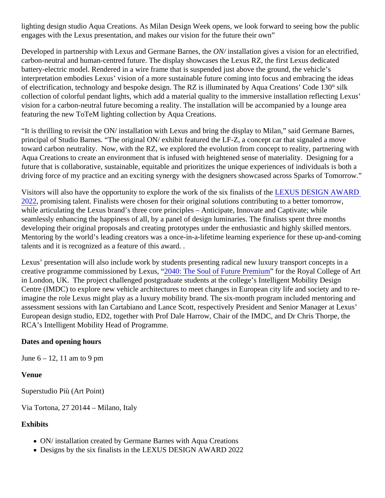lighting design studio Aqua Creations. As Milan Design Week opens, we look forward to seeing how the publi engages with the Lexus presentation, and makes our vision for the future their own"

Developed in partnership with Lexus and Germane Barne QNM installation gives a vision for an electrified, carbon-neutral and human-centred future. The display showcases the Lexus RZ, the first Lexus dedicated battery-electric model. Rendered in a wire frame that is suspended just above the ground, the vehicle's interpretation embodies Lexus' vision of a more sustainable future coming into focus and embracing the ideas of electrification, technology and bespoke design. The RZ is illuminated by Aqua Creations' Code 130° silk collection of colorful pendant lights, which add a material quality to the immersive installation reflecting Lexus' vision for a carbon-neutral future becoming a reality. The installation will be accompanied by a lounge area featuring the new ToTeM lighting collection by Aqua Creations.

"It is thrilling to revisit the ON/ installation with Lexus and bring the display to Milan," said Germane Barnes, principal of Studio Barnes. "The original ON/ exhibit featured the LF-Z, a concept car that signaled a move toward carbon neutrality. Now, with the RZ, we explored the evolution from concept to reality, partnering with Aqua Creations to create an environment that is infused with heightened sense of materiality. Designing for a future that is collaborative, sustainable, equitable and prioritizes the unique experiences of individuals is both driving force of my practice and an exciting synergy with the designers showcased across Sparks of Tomorro

Visitors will also have the opportunity to explore the work of the six finalists differed DESIGN AWARD [2022](https://newsroom.lexus.eu/lexus-announces-lexus-design-award-2022-finalists/), promising talent. Finalists were chosen for their original solutions contributing to a better tomorrow, while articulating the Lexus brand's three core principles – Anticipate, Innovate and Captivate; while seamlessly enhancing the happiness of all, by a panel of design luminaries. The finalists spent three months developing their original proposals and creating prototypes under the enthusiastic and highly skilled mentors. Mentoring by the world's leading creators was a once-in-a-lifetime learning experience for these up-and-coming talents and it is recognized as a feature of this award. .

Lexus' presentation will also include work by students presenting radical new luxury transport concepts in a creative programme commissioned by Lexus, 40: The Soul of Future Premium for the Royal College of Art in London, UK. The project challenged postgraduate students at the college's Intelligent Mobility Design Centre (IMDC) to explore new vehicle architectures to meet changes in European city life and society and to imagine the role Lexus might play as a luxury mobility brand. The six-month program included mentoring and assessment sessions with Ian Cartabiano and Lance Scott, respectively President and Senior Manager at Le European design studio, ED2, together with Prof Dale Harrow, Chair of the IMDC, and Dr Chris Thorpe, the RCA's Intelligent Mobility Head of Programme.

Dates and opening hours

June 6 – 12, 11 am to 9 pm

Venue

Superstudio Più (Art Point)

Via Tortona, 27 20144 – Milano, Italy

**Exhibits** 

- ON/ installation created by Germane Barnes with Aqua Creations
- Designs by the six finalists in the LEXUS DESIGN AWARD 2022